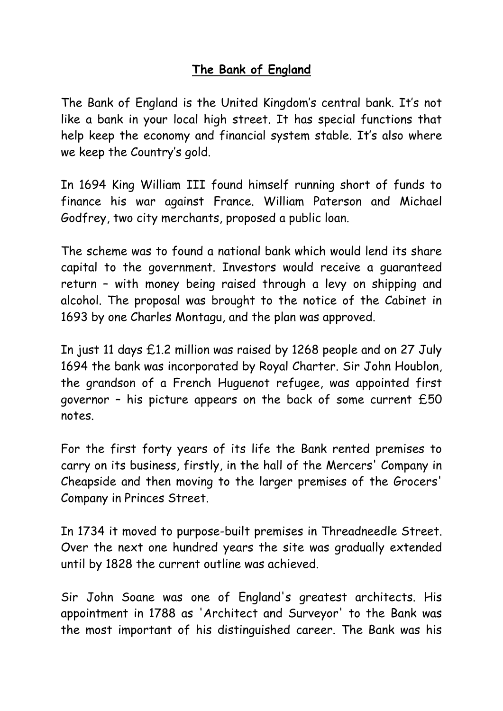## **The Bank of England**

The Bank of England is the United Kingdom's central bank. It's not like a bank in your local high street. It has special functions that help keep the economy and financial system stable. It's also where we keep the Country's gold.

In 1694 King William III found himself running short of funds to finance his war against France. William Paterson and Michael Godfrey, two city merchants, proposed a public loan.

The scheme was to found a national bank which would lend its share capital to the government. Investors would receive a guaranteed return – with money being raised through a levy on shipping and alcohol. The proposal was brought to the notice of the Cabinet in 1693 by one Charles Montagu, and the plan was approved.

In just 11 days £1.2 million was raised by 1268 people and on 27 July 1694 the bank was incorporated by Royal Charter. Sir John Houblon, the grandson of a French Huguenot refugee, was appointed first governor – his picture appears on the back of some current £50 notes.

For the first forty years of its life the Bank rented premises to carry on its business, firstly, in the hall of the Mercers' Company in Cheapside and then moving to the larger premises of the Grocers' Company in Princes Street.

In 1734 it moved to purpose-built premises in Threadneedle Street. Over the next one hundred years the site was gradually extended until by 1828 the current outline was achieved.

Sir John Soane was one of England's greatest architects. His appointment in 1788 as 'Architect and Surveyor' to the Bank was the most important of his distinguished career. The Bank was his